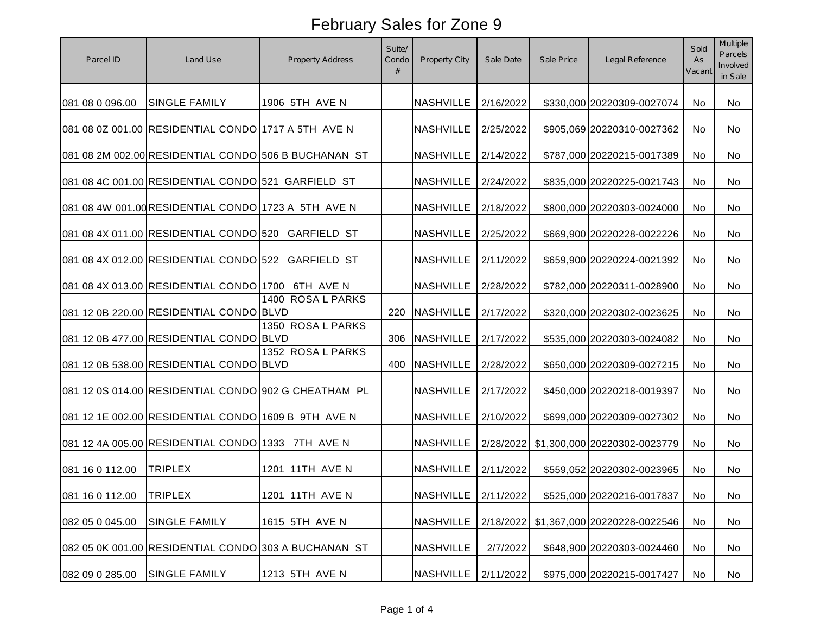| Parcel ID       | Land Use                                             | <b>Property Address</b> | Suite/<br>Condo<br># | Property City         | Sale Date | Sale Price | Legal Reference              | Sold<br>As<br>Vacant | Multiple<br>Parcels<br>Involved<br>in Sale |
|-----------------|------------------------------------------------------|-------------------------|----------------------|-----------------------|-----------|------------|------------------------------|----------------------|--------------------------------------------|
| 081 08 0 096.00 | <b>SINGLE FAMILY</b>                                 | 1906 5TH AVE N          |                      | <b>NASHVILLE</b>      | 2/16/2022 |            | \$330,000 20220309-0027074   | No                   | No                                         |
|                 | 081 08 0Z 001.00 RESIDENTIAL CONDO 1717 A 5TH AVE N  |                         |                      | <b>NASHVILLE</b>      | 2/25/2022 |            | \$905,069 20220310-0027362   | No                   | No                                         |
|                 | 081 08 2M 002.00 RESIDENTIAL CONDO 506 B BUCHANAN ST |                         |                      | <b>NASHVILLE</b>      | 2/14/2022 |            | \$787,000 20220215-0017389   | No                   | No                                         |
|                 | 081 08 4C 001.00 RESIDENTIAL CONDO 521 GARFIELD ST   |                         |                      | NASHVILLE             | 2/24/2022 |            | \$835,000 20220225-0021743   | No                   | No                                         |
|                 | 081 08 4W 001.00 RESIDENTIAL CONDO 1723 A 5TH AVE N  |                         |                      | NASHVILLE             | 2/18/2022 |            | \$800,000 20220303-0024000   | No.                  | No                                         |
|                 | 081 08 4X 011.00 RESIDENTIAL CONDO 520 GARFIELD ST   |                         |                      | <b>NASHVILLE</b>      | 2/25/2022 |            | \$669,900 20220228-0022226   | No.                  | No                                         |
|                 | 081 08 4X 012.00 RESIDENTIAL CONDO 522 GARFIELD ST   |                         |                      | <b>NASHVILLE</b>      | 2/11/2022 |            | \$659,900 20220224-0021392   | No                   | No                                         |
|                 | 081 08 4X 013.00 RESIDENTIAL CONDO 1700 6TH AVE N    |                         |                      | NASHVILLE             | 2/28/2022 |            | \$782,000 20220311-0028900   | No                   | No                                         |
|                 | 081 12 0B 220.00 RESIDENTIAL CONDO BLVD              | 1400 ROSA L PARKS       | 220                  | <b>NASHVILLE</b>      | 2/17/2022 |            | \$320,000 20220302-0023625   | No                   | No                                         |
|                 | 081 12 0B 477.00 RESIDENTIAL CONDO BLVD              | 1350 ROSA L PARKS       | 306                  | <b>NASHVILLE</b>      | 2/17/2022 |            | \$535,000 20220303-0024082   | No.                  | No                                         |
|                 | 081 12 0B 538.00 RESIDENTIAL CONDO BLVD              | 1352 ROSA L PARKS       |                      | 400 NASHVILLE         | 2/28/2022 |            | \$650,000 20220309-0027215   | No                   | No                                         |
|                 | 081 12 0S 014.00 RESIDENTIAL CONDO 902 G CHEATHAM PL |                         |                      | <b>NASHVILLE</b>      | 2/17/2022 |            | \$450,000 20220218-0019397   | No                   | No                                         |
|                 | 081 12 1E 002.00 RESIDENTIAL CONDO 1609 B 9TH AVE N  |                         |                      | NASHVILLE             | 2/10/2022 |            | \$699,000 20220309-0027302   | No.                  | No                                         |
|                 | 081 12 4A 005.00 RESIDENTIAL CONDO 1333 7TH AVE N    |                         |                      | <b>NASHVILLE</b>      | 2/28/2022 |            | \$1,300,000 20220302-0023779 | No.                  | No                                         |
| 081 16 0 112.00 | <b>TRIPLEX</b>                                       | 1201 11TH AVE N         |                      | <b>NASHVILLE</b>      | 2/11/2022 |            | \$559,052 20220302-0023965   | No.                  | No                                         |
| 081 16 0 112.00 | <b>TRIPLEX</b>                                       | 1201 11TH AVE N         |                      | NASHVILLE   2/11/2022 |           |            | \$525,000 20220216-0017837   | No                   | No                                         |
| 082 05 0 045.00 | <b>SINGLE FAMILY</b>                                 | 1615 5TH AVE N          |                      | <b>NASHVILLE</b>      | 2/18/2022 |            | \$1,367,000 20220228-0022546 | No                   | No                                         |
|                 | 082 05 0K 001.00 RESIDENTIAL CONDO 303 A BUCHANAN ST |                         |                      | <b>NASHVILLE</b>      | 2/7/2022  |            | \$648,900 20220303-0024460   | No                   | No                                         |
| 082 09 0 285.00 | <b>SINGLE FAMILY</b>                                 | 1213 5TH AVE N          |                      | <b>NASHVILLE</b>      | 2/11/2022 |            | \$975,000 20220215-0017427   | No                   | No                                         |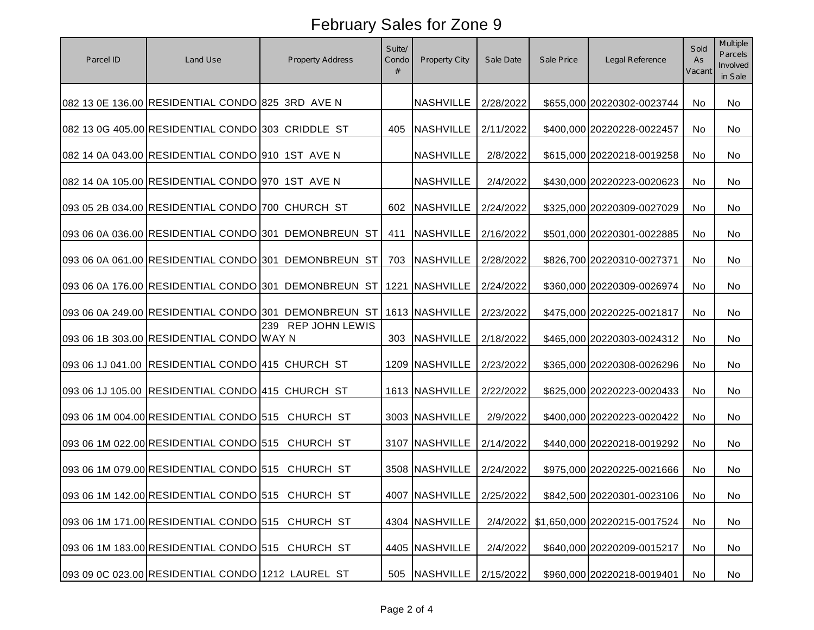| Parcel ID | Land Use                                          | Property Address                                     | Suite/<br>Condo<br># | Property City              | Sale Date | Sale Price | Legal Reference              | Sold<br>As<br>Vacant | Multiple<br>Parcels<br>Involved<br>in Sale |
|-----------|---------------------------------------------------|------------------------------------------------------|----------------------|----------------------------|-----------|------------|------------------------------|----------------------|--------------------------------------------|
|           | 082 13 0E 136.00 RESIDENTIAL CONDO 825 3RD AVE N  |                                                      |                      | <b>NASHVILLE</b>           | 2/28/2022 |            | \$655,000 20220302-0023744   | No                   | No                                         |
|           | 082 13 0G 405.00 RESIDENTIAL CONDO 303 CRIDDLE ST |                                                      | 405                  | <b>NASHVILLE</b>           | 2/11/2022 |            | \$400,000 20220228-0022457   | No.                  | No                                         |
|           | 082 14 0A 043.00 RESIDENTIAL CONDO 910 1ST AVE N  |                                                      |                      | <b>NASHVILLE</b>           | 2/8/2022  |            | \$615,000 20220218-0019258   | No                   | No                                         |
|           | 082 14 0A 105.00 RESIDENTIAL CONDO 970 1ST AVE N  |                                                      |                      | <b>NASHVILLE</b>           | 2/4/2022  |            | \$430,000 20220223-0020623   | No.                  | No                                         |
|           | 093 05 2B 034.00 RESIDENTIAL CONDO 700 CHURCH ST  |                                                      |                      | 602 NASHVILLE              | 2/24/2022 |            | \$325,000 20220309-0027029   | No.                  | No                                         |
|           |                                                   | 093 06 0A 036.00 RESIDENTIAL CONDO 301 DEMONBREUN ST | 411                  | <b>NASHVILLE</b>           | 2/16/2022 |            | \$501,000 20220301-0022885   | No.                  | No                                         |
|           |                                                   | 093 06 0A 061.00 RESIDENTIAL CONDO 301 DEMONBREUN ST | 703                  | <b>NASHVILLE</b>           | 2/28/2022 |            | \$826,700 20220310-0027371   | No                   | No                                         |
|           |                                                   | 093 06 0A 176.00 RESIDENTIAL CONDO 301 DEMONBREUN ST |                      | 1221 NASHVILLE             | 2/24/2022 |            | \$360,000 20220309-0026974   | No                   | No                                         |
|           |                                                   | 093 06 0A 249.00 RESIDENTIAL CONDO 301 DEMONBREUN ST |                      | 1613 NASHVILLE             | 2/23/2022 |            | \$475,000 20220225-0021817   | No                   | No                                         |
|           | 093 06 1B 303.00 RESIDENTIAL CONDO WAY N          | 239 REP JOHN LEWIS                                   |                      | 303 NASHVILLE              | 2/18/2022 |            | \$465,000 20220303-0024312   | No                   | No                                         |
|           | 093 06 1J 041.00 RESIDENTIAL CONDO 415 CHURCH ST  |                                                      |                      | 1209 NASHVILLE             | 2/23/2022 |            | \$365,000 20220308-0026296   | No                   | No                                         |
|           | 093 06 1J 105.00 RESIDENTIAL CONDO 415 CHURCH ST  |                                                      |                      | 1613 NASHVILLE             | 2/22/2022 |            | \$625,000 20220223-0020433   | No                   | No                                         |
|           | 093 06 1M 004.00 RESIDENTIAL CONDO 515 CHURCH ST  |                                                      |                      | 3003 NASHVILLE             | 2/9/2022  |            | \$400,000 20220223-0020422   | No.                  | No                                         |
|           | 093 06 1M 022.00 RESIDENTIAL CONDO 515 CHURCH ST  |                                                      |                      | 3107 NASHVILLE             | 2/14/2022 |            | \$440,000 20220218-0019292   | No.                  | No                                         |
|           | 093 06 1M 079.00 RESIDENTIAL CONDO 515 CHURCH ST  |                                                      |                      | 3508 NASHVILLE             | 2/24/2022 |            | \$975,000 20220225-0021666   | No.                  | No                                         |
|           | 093 06 1M 142.00 RESIDENTIAL CONDO 515 CHURCH ST  |                                                      |                      | 4007 NASHVILLE   2/25/2022 |           |            | \$842,500 20220301-0023106   | No                   | No                                         |
|           | 093 06 1M 171.00 RESIDENTIAL CONDO 515 CHURCH ST  |                                                      |                      | 4304 NASHVILLE             | 2/4/2022  |            | \$1,650,000 20220215-0017524 | No                   | No                                         |
|           | 093 06 1M 183.00 RESIDENTIAL CONDO 515 CHURCH ST  |                                                      |                      | 4405 NASHVILLE             | 2/4/2022  |            | \$640,000 20220209-0015217   | No                   | No                                         |
|           | 093 09 0C 023.00 RESIDENTIAL CONDO 1212 LAUREL ST |                                                      |                      | 505 NASHVILLE              | 2/15/2022 |            | \$960,000 20220218-0019401   | No                   | No                                         |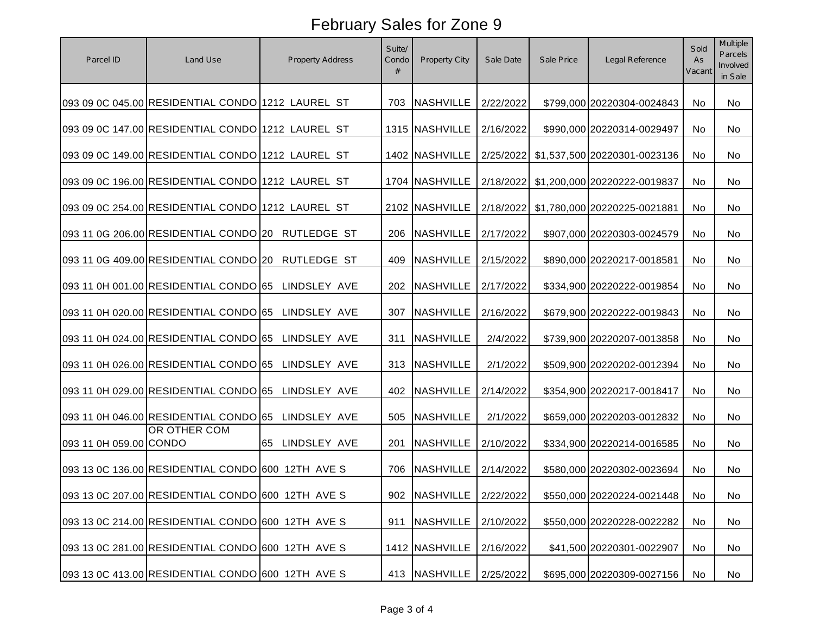| Parcel ID              | Land Use                                           | Property Address | Suite/<br>Condo<br># | Property City               | Sale Date | Sale Price | Legal Reference              | Sold<br>As<br>Vacant | Multiple<br>Parcels<br>Involved<br>in Sale |
|------------------------|----------------------------------------------------|------------------|----------------------|-----------------------------|-----------|------------|------------------------------|----------------------|--------------------------------------------|
|                        | 093 09 0C 045.00 RESIDENTIAL CONDO 1212 LAUREL ST  |                  | 703                  | <b>NASHVILLE</b>            | 2/22/2022 |            | \$799,000 20220304-0024843   | No                   | No                                         |
|                        | 093 09 0C 147.00 RESIDENTIAL CONDO 1212 LAUREL ST  |                  |                      | 1315 NASHVILLE              | 2/16/2022 |            | \$990,000 20220314-0029497   | No                   | No                                         |
|                        | 093 09 0C 149.00 RESIDENTIAL CONDO 1212 LAUREL ST  |                  |                      | 1402 NASHVILLE              | 2/25/2022 |            | \$1,537,500 20220301-0023136 | No                   | No                                         |
|                        | 093 09 0C 196.00 RESIDENTIAL CONDO 1212 LAUREL ST  |                  |                      | 1704 NASHVILLE              | 2/18/2022 |            | \$1,200,000 20220222-0019837 | No                   | No                                         |
|                        | 093 09 0C 254.00 RESIDENTIAL CONDO 1212 LAUREL ST  |                  |                      | 2102 NASHVILLE              | 2/18/2022 |            | \$1,780,000 20220225-0021881 | No.                  | No                                         |
|                        | 093 11 0G 206.00 RESIDENTIAL CONDO 20 RUTLEDGE ST  |                  | 206                  | NASHVILLE                   | 2/17/2022 |            | \$907,000 20220303-0024579   | No.                  | No                                         |
|                        | 093 11 0G 409.00 RESIDENTIAL CONDO 20 RUTLEDGE ST  |                  | 409                  | <b>NASHVILLE</b>            | 2/15/2022 |            | \$890,000 20220217-0018581   | No                   | No                                         |
|                        | 093 11 0H 001.00 RESIDENTIAL CONDO 65 LINDSLEY AVE |                  | 202                  | <b>NASHVILLE</b>            | 2/17/2022 |            | \$334,900 20220222-0019854   | No                   | No                                         |
|                        | 093 11 0H 020.00 RESIDENTIAL CONDO 65 LINDSLEY AVE |                  | 307                  | <b>NASHVILLE</b>            | 2/16/2022 |            | \$679,900 20220222-0019843   | No                   | No                                         |
|                        | 093 11 0H 024.00 RESIDENTIAL CONDO 65 LINDSLEY AVE |                  | 311                  | <b>NASHVILLE</b>            | 2/4/2022  |            | \$739,900 20220207-0013858   | No                   | No                                         |
|                        | 093 11 0H 026.00 RESIDENTIAL CONDO 65 LINDSLEY AVE |                  |                      | 313 NASHVILLE               | 2/1/2022  |            | \$509,900 20220202-0012394   | No                   | No                                         |
|                        | 093 11 0H 029.00 RESIDENTIAL CONDO 65 LINDSLEY AVE |                  | 402                  | <b>NASHVILLE</b>            | 2/14/2022 |            | \$354,900 20220217-0018417   | No                   | No                                         |
|                        | 093 11 0H 046.00 RESIDENTIAL CONDO 65 LINDSLEY AVE |                  |                      | 505 NASHVILLE               | 2/1/2022  |            | \$659,000 20220203-0012832   | No.                  | No                                         |
| 093 11 0H 059.00 CONDO | OR OTHER COM                                       | 65 LINDSLEY AVE  | 201                  | <b>NASHVILLE</b>            | 2/10/2022 |            | \$334,900 20220214-0016585   | No.                  | No                                         |
|                        | 093 13 0C 136.00 RESIDENTIAL CONDO 600 12TH AVE S  |                  | 706                  | <b>NASHVILLE</b>            | 2/14/2022 |            | \$580,000 20220302-0023694   | No.                  | No                                         |
|                        | 093 13 0C 207.00 RESIDENTIAL CONDO 600 12TH AVE S  |                  |                      | 902   NASHVILLE   2/22/2022 |           |            | \$550,000 20220224-0021448   | No                   | No                                         |
|                        | 093 13 0C 214.00 RESIDENTIAL CONDO 600 12TH AVE S  |                  | 911                  | <b>NASHVILLE</b>            | 2/10/2022 |            | \$550,000 20220228-0022282   | No                   | No                                         |
|                        | 093 13 0C 281.00 RESIDENTIAL CONDO 600 12TH AVE S  |                  |                      | 1412 NASHVILLE              | 2/16/2022 |            | \$41,500 20220301-0022907    | No                   | No                                         |
|                        | 093 13 0C 413.00 RESIDENTIAL CONDO 600 12TH AVE S  |                  |                      | 413 NASHVILLE               | 2/25/2022 |            | \$695,000 20220309-0027156   | No                   | No                                         |